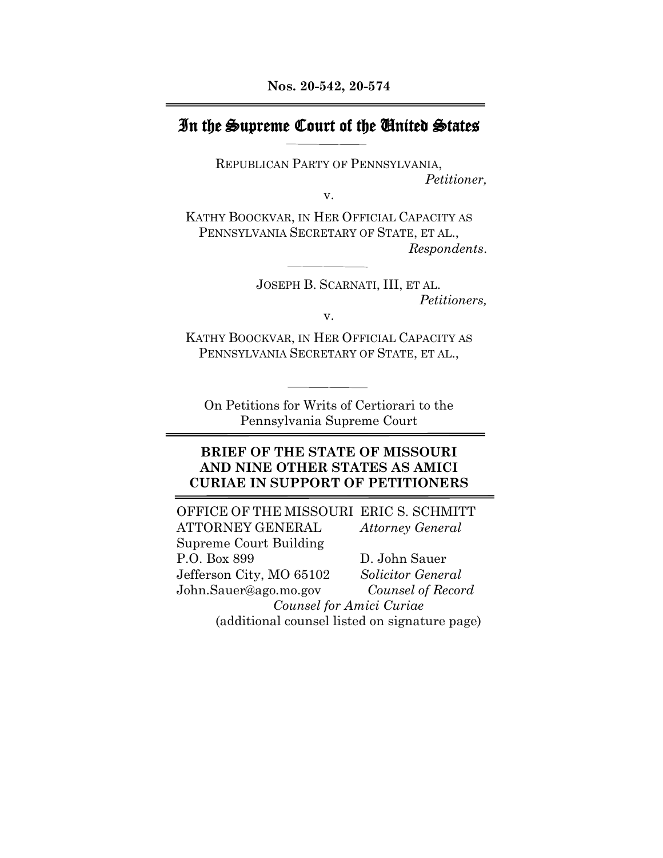### In the Supreme Court of the United States

REPUBLICAN PARTY OF PENNSYLVANIA, *Petitioner,*

v.

KATHY BOOCKVAR, IN HER OFFICIAL CAPACITY AS PENNSYLVANIA SECRETARY OF STATE, ET AL., *Respondents*.

> JOSEPH B. SCARNATI, III, ET AL. *Petitioners,*

v.

KATHY BOOCKVAR, IN HER OFFICIAL CAPACITY AS PENNSYLVANIA SECRETARY OF STATE, ET AL.,

On Petitions for Writs of Certiorari to the Pennsylvania Supreme Court

#### **BRIEF OF THE STATE OF MISSOURI AND NINE OTHER STATES AS AMICI CURIAE IN SUPPORT OF PETITIONERS**

OFFICE OF THE MISSOURI ERIC S. SCHMITT ATTORNEY GENERAL *Attorney General* Supreme Court Building P.O. Box 899 D. John Sauer Jefferson City, MO 65102 *Solicitor General* John.Sauer@ago.mo.gov *Counsel of Record Counsel for Amici Curiae* (additional counsel listed on signature page)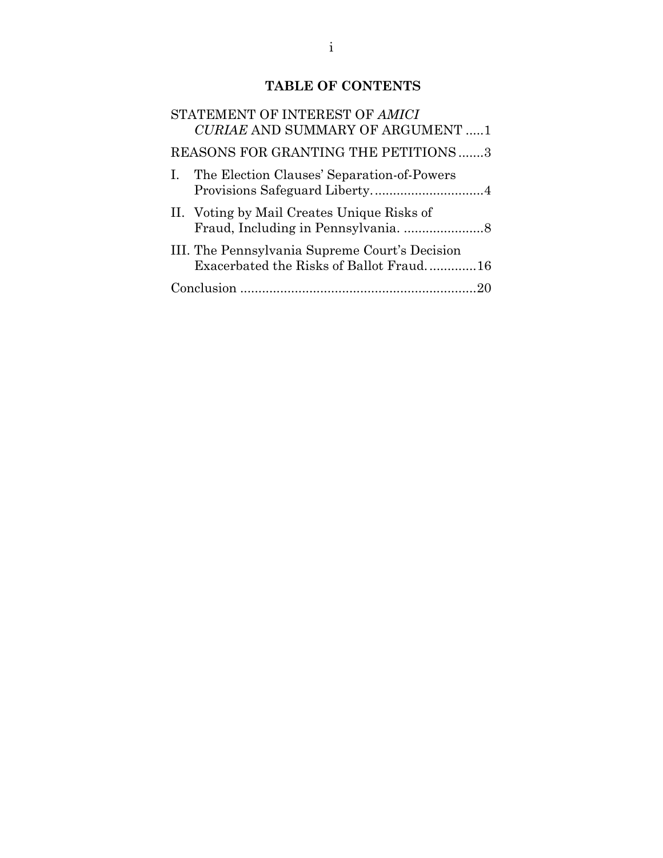### **TABLE OF CONTENTS**

| STATEMENT OF INTEREST OF AMICI<br><b>CURIAE AND SUMMARY OF ARGUMENT 1</b>                 |
|-------------------------------------------------------------------------------------------|
| REASONS FOR GRANTING THE PETITIONS3                                                       |
| I. The Election Clauses' Separation-of-Powers                                             |
| II. Voting by Mail Creates Unique Risks of                                                |
| III. The Pennsylvania Supreme Court's Decision<br>Exacerbated the Risks of Ballot Fraud16 |
|                                                                                           |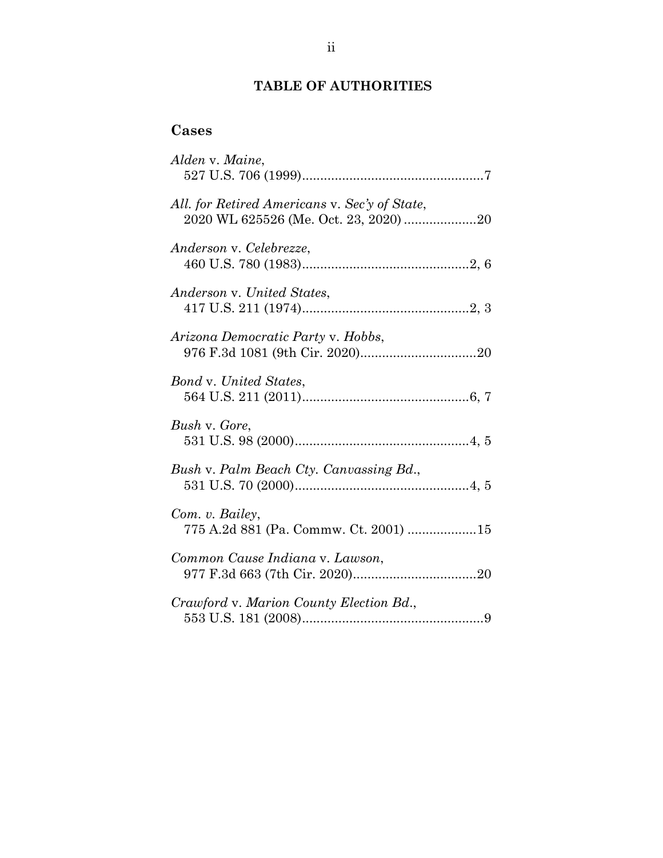### **TABLE OF AUTHORITIES**

# **Cases**

| Alden v. Maine,                                                                        |
|----------------------------------------------------------------------------------------|
| All. for Retired Americans v. Sec'y of State,<br>2020 WL 625526 (Me. Oct. 23, 2020) 20 |
| Anderson v. Celebrezze,                                                                |
| Anderson v. United States,                                                             |
| Arizona Democratic Party v. Hobbs,                                                     |
| <b>Bond v. United States,</b>                                                          |
| Bush v. Gore,                                                                          |
| Bush v. Palm Beach Cty. Canvassing Bd.,                                                |
| Com. v. Bailey,<br>775 A.2d 881 (Pa. Commw. Ct. 2001) 15                               |
| Common Cause Indiana v. Lawson,                                                        |
| Crawford v. Marion County Election Bd.,                                                |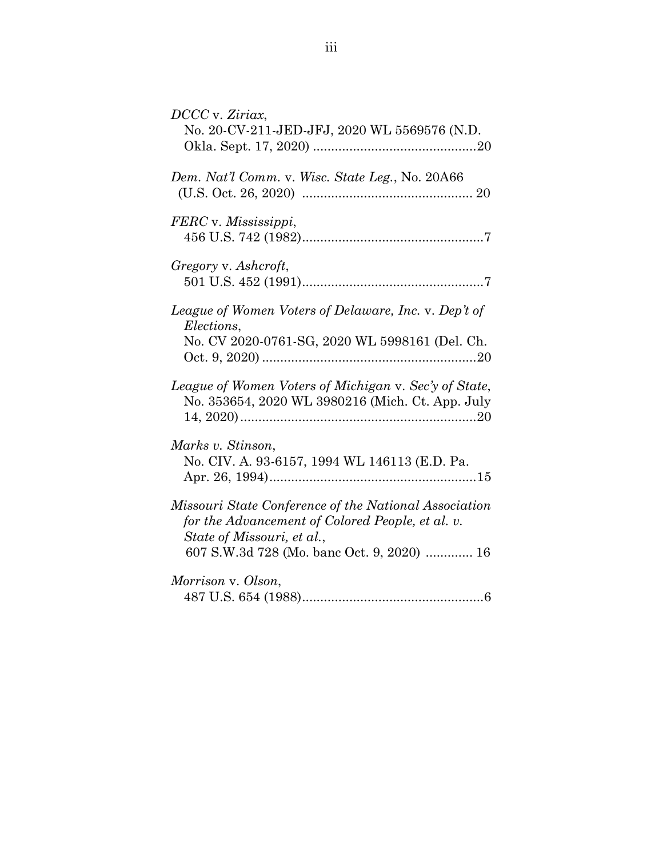| DCCC v. Ziriax,<br>No. 20-CV-211-JED-JFJ, 2020 WL 5569576 (N.D.                                                                                                                       |
|---------------------------------------------------------------------------------------------------------------------------------------------------------------------------------------|
| Dem. Nat'l Comm. v. Wisc. State Leg., No. 20A66                                                                                                                                       |
| FERC v. Mississippi,                                                                                                                                                                  |
| Gregory v. Ashcroft,                                                                                                                                                                  |
| League of Women Voters of Delaware, Inc. v. Dep't of<br>Elections,<br>No. CV 2020-0761-SG, 2020 WL 5998161 (Del. Ch.                                                                  |
| League of Women Voters of Michigan v. Sec'y of State,<br>No. 353654, 2020 WL 3980216 (Mich. Ct. App. July                                                                             |
| Marks v. Stinson,<br>No. CIV. A. 93-6157, 1994 WL 146113 (E.D. Pa.                                                                                                                    |
| Missouri State Conference of the National Association<br>for the Advancement of Colored People, et al. v.<br>State of Missouri, et al.,<br>607 S.W.3d 728 (Mo. banc Oct. 9, 2020)  16 |
| Morrison v. Olson,                                                                                                                                                                    |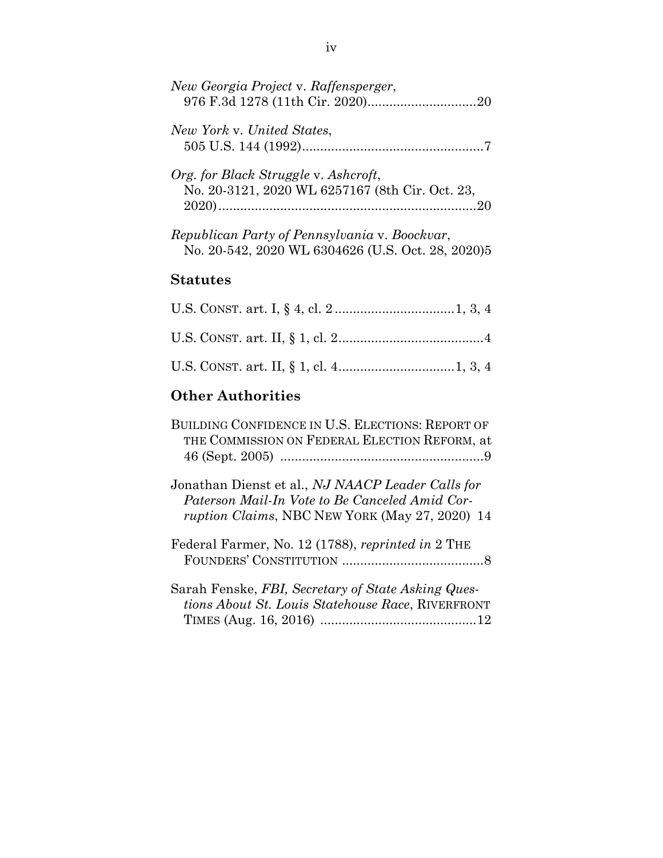| New Georgia Project v. Raffensperger,                                                              |
|----------------------------------------------------------------------------------------------------|
| New York v. United States,                                                                         |
| Org. for Black Struggle v. Ashcroft,<br>No. 20-3121, 2020 WL 6257167 (8th Cir. Oct. 23,            |
| Republican Party of Pennsylvania v. Boockvar,<br>No. 20-542, 2020 WL 6304626 (U.S. Oct. 28, 2020)5 |
| <b>Statutes</b>                                                                                    |

## **Other Authorities**

| BUILDING CONFIDENCE IN U.S. ELECTIONS: REPORT OF<br>THE COMMISSION ON FEDERAL ELECTION REFORM, at                                                            |
|--------------------------------------------------------------------------------------------------------------------------------------------------------------|
|                                                                                                                                                              |
| Jonathan Dienst et al., NJ NAACP Leader Calls for<br>Paterson Mail-In Vote to Be Canceled Amid Cor-<br><i>ruption Claims, NBC NEW YORK (May 27, 2020)</i> 14 |
| Federal Farmer, No. 12 (1788), reprinted in 2 THE                                                                                                            |
| Sarah Fenske, FBI, Secretary of State Asking Ques-<br><i>tions About St. Louis Statehouse Race, RIVERFRONT</i>                                               |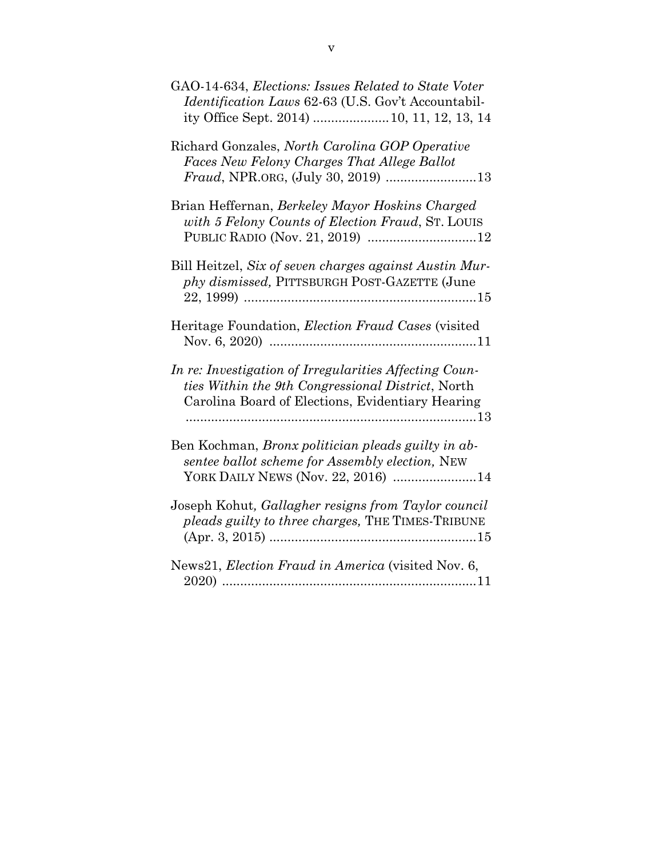| GAO-14-634, Elections: Issues Related to State Voter<br><i>Identification Laws</i> 62-63 (U.S. Gov't Accountabil-<br>ity Office Sept. 2014)  10, 11, 12, 13, 14        |
|------------------------------------------------------------------------------------------------------------------------------------------------------------------------|
| Richard Gonzales, North Carolina GOP Operative<br>Faces New Felony Charges That Allege Ballot                                                                          |
| Brian Heffernan, Berkeley Mayor Hoskins Charged<br>with 5 Felony Counts of Election Fraud, ST. LOUIS                                                                   |
| Bill Heitzel, Six of seven charges against Austin Mur-<br>phy dismissed, PITTSBURGH POST-GAZETTE (June                                                                 |
| Heritage Foundation, <i>Election Fraud Cases</i> (visited                                                                                                              |
| In re: Investigation of Irregularities Affecting Coun-<br><i>ties Within the 9th Congressional District, North</i><br>Carolina Board of Elections, Evidentiary Hearing |
| Ben Kochman, Bronx politician pleads guilty in ab-<br>sentee ballot scheme for Assembly election, NEW<br>YORK DAILY NEWS (Nov. 22, 2016) 14                            |
| Joseph Kohut, Gallagher resigns from Taylor council<br>pleads guilty to three charges, THE TIMES-TRIBUNE                                                               |
| News21, Election Fraud in America (visited Nov. 6,                                                                                                                     |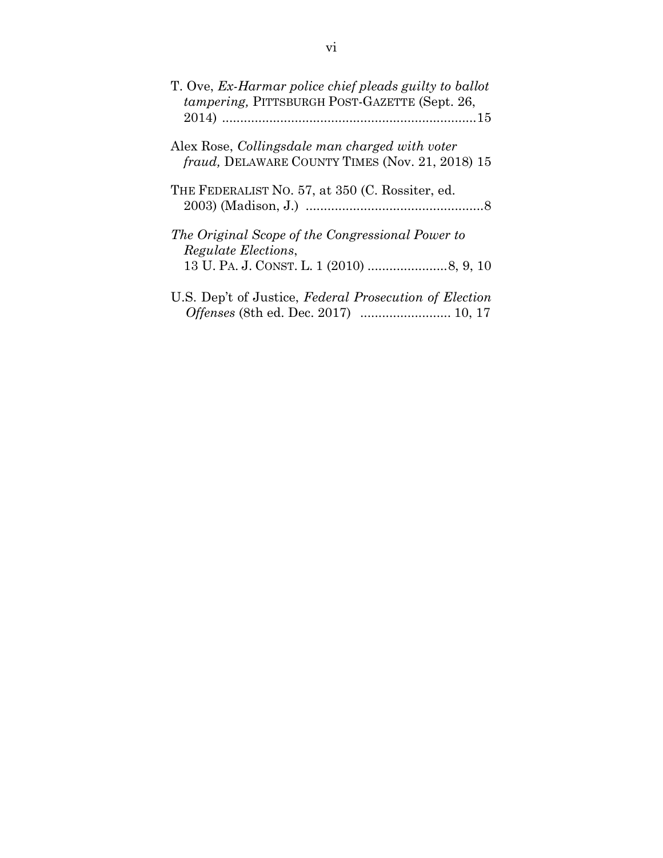| T. Ove, Ex-Harmar police chief pleads guilty to ballot<br>tampering, PITTSBURGH POST-GAZETTE (Sept. 26,  |
|----------------------------------------------------------------------------------------------------------|
|                                                                                                          |
| Alex Rose, <i>Collingsdale man charged with voter</i><br>fraud, DELAWARE COUNTY TIMES (Nov. 21, 2018) 15 |
| THE FEDERALIST NO. 57, at 350 (C. Rossiter, ed.                                                          |
| The Original Scope of the Congressional Power to<br><i>Regulate Elections,</i>                           |
|                                                                                                          |
| U.S. Dep't of Justice, Federal Prosecution of Election<br>Offenses (8th ed. Dec. 2017)  10, 17           |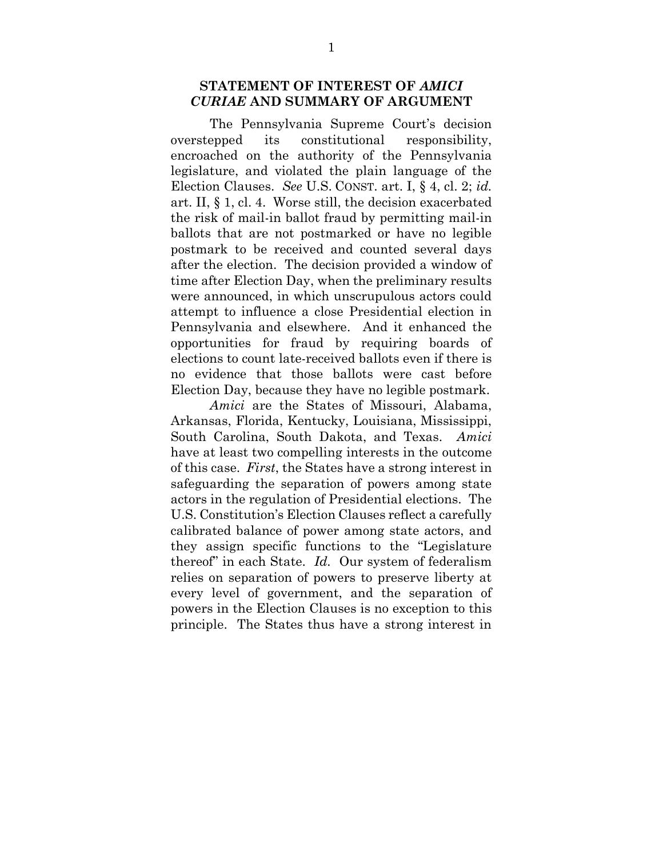#### <span id="page-7-0"></span>**STATEMENT OF INTEREST OF** *AMICI CURIAE* **AND SUMMARY OF ARGUMENT**

The Pennsylvania Supreme Court's decision overstepped its constitutional responsibility, encroached on the authority of the Pennsylvania legislature, and violated the plain language of the Election Clauses. *See* U.S. CONST. art. I, § 4, cl. 2; *id.* art. II, § 1, cl. 4. Worse still, the decision exacerbated the risk of mail-in ballot fraud by permitting mail-in ballots that are not postmarked or have no legible postmark to be received and counted several days after the election. The decision provided a window of time after Election Day, when the preliminary results were announced, in which unscrupulous actors could attempt to influence a close Presidential election in Pennsylvania and elsewhere. And it enhanced the opportunities for fraud by requiring boards of elections to count late-received ballots even if there is no evidence that those ballots were cast before Election Day, because they have no legible postmark.

*Amici* are the States of Missouri, Alabama, Arkansas, Florida, Kentucky, Louisiana, Mississippi, South Carolina, South Dakota, and Texas. *Amici* have at least two compelling interests in the outcome of this case. *First*, the States have a strong interest in safeguarding the separation of powers among state actors in the regulation of Presidential elections. The U.S. Constitution's Election Clauses reflect a carefully calibrated balance of power among state actors, and they assign specific functions to the "Legislature thereof" in each State. *Id.* Our system of federalism relies on separation of powers to preserve liberty at every level of government, and the separation of powers in the Election Clauses is no exception to this principle. The States thus have a strong interest in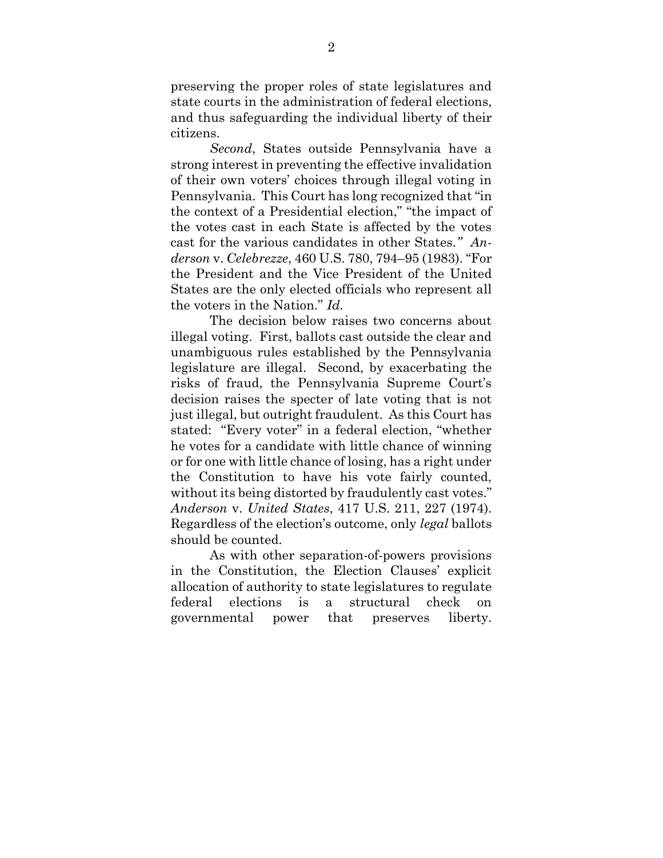preserving the proper roles of state legislatures and state courts in the administration of federal elections, and thus safeguarding the individual liberty of their citizens.

*Second*, States outside Pennsylvania have a strong interest in preventing the effective invalidation of their own voters' choices through illegal voting in Pennsylvania. This Court has long recognized that "in the context of a Presidential election," "the impact of the votes cast in each State is affected by the votes cast for the various candidates in other States*." Anderson* v. *Celebrezze*, 460 U.S. 780, 794–95 (1983). "For the President and the Vice President of the United States are the only elected officials who represent all the voters in the Nation." *Id.*

The decision below raises two concerns about illegal voting. First, ballots cast outside the clear and unambiguous rules established by the Pennsylvania legislature are illegal. Second, by exacerbating the risks of fraud, the Pennsylvania Supreme Court's decision raises the specter of late voting that is not just illegal, but outright fraudulent. As this Court has stated: "Every voter" in a federal election, "whether he votes for a candidate with little chance of winning or for one with little chance of losing, has a right under the Constitution to have his vote fairly counted, without its being distorted by fraudulently cast votes." *Anderson* v. *United States*, 417 U.S. 211, 227 (1974). Regardless of the election's outcome, only *legal* ballots should be counted.

As with other separation-of-powers provisions in the Constitution, the Election Clauses' explicit allocation of authority to state legislatures to regulate federal elections is a structural check on governmental power that preserves liberty.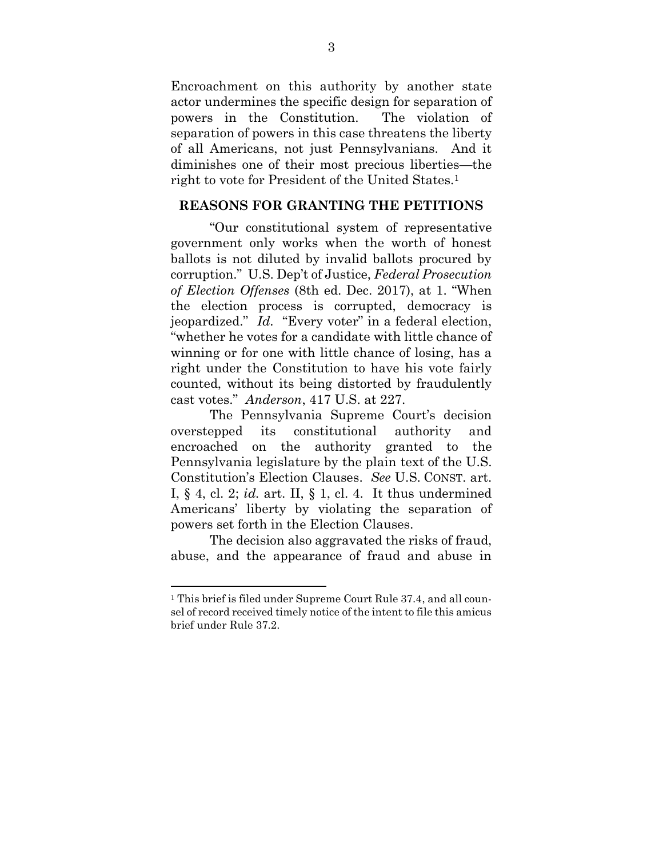Encroachment on this authority by another state actor undermines the specific design for separation of powers in the Constitution. The violation of separation of powers in this case threatens the liberty of all Americans, not just Pennsylvanians. And it diminishes one of their most precious liberties—the right to vote for President of the United States.<sup>1</sup>

#### <span id="page-9-0"></span>**REASONS FOR GRANTING THE PETITIONS**

"Our constitutional system of representative government only works when the worth of honest ballots is not diluted by invalid ballots procured by corruption." U.S. Dep't of Justice, *Federal Prosecution of Election Offenses* (8th ed. Dec. 2017), at 1. "When the election process is corrupted, democracy is jeopardized." *Id.* "Every voter" in a federal election, "whether he votes for a candidate with little chance of winning or for one with little chance of losing, has a right under the Constitution to have his vote fairly counted, without its being distorted by fraudulently cast votes." *Anderson*, 417 U.S. at 227.

The Pennsylvania Supreme Court's decision overstepped its constitutional authority and encroached on the authority granted to the Pennsylvania legislature by the plain text of the U.S. Constitution's Election Clauses. *See* U.S. CONST. art. I, § 4, cl. 2; *id.* art. II, § 1, cl. 4. It thus undermined Americans' liberty by violating the separation of powers set forth in the Election Clauses.

The decision also aggravated the risks of fraud, abuse, and the appearance of fraud and abuse in

l

<sup>1</sup> This brief is filed under Supreme Court Rule 37.4, and all counsel of record received timely notice of the intent to file this amicus brief under Rule 37.2.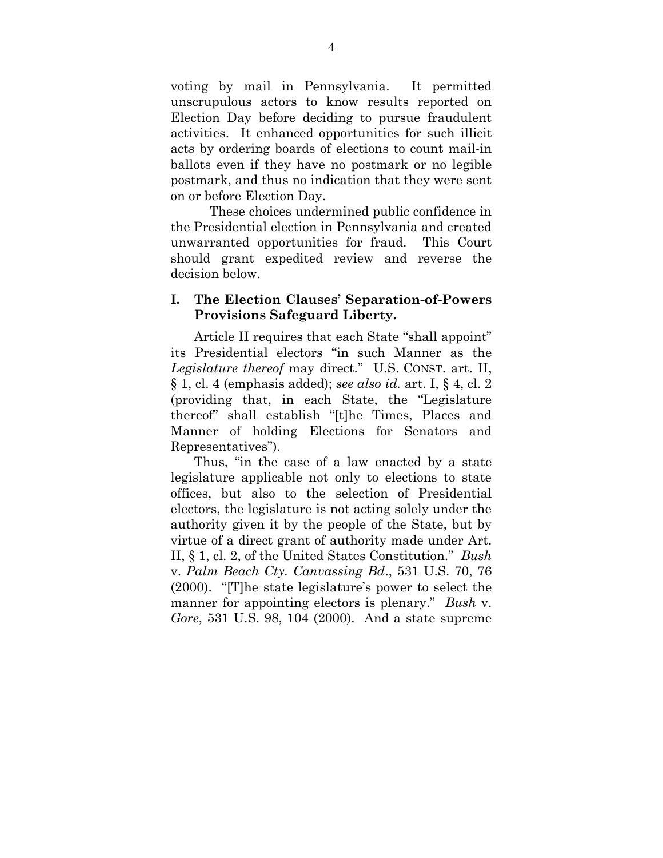voting by mail in Pennsylvania. It permitted unscrupulous actors to know results reported on Election Day before deciding to pursue fraudulent activities. It enhanced opportunities for such illicit acts by ordering boards of elections to count mail-in ballots even if they have no postmark or no legible postmark, and thus no indication that they were sent on or before Election Day.

These choices undermined public confidence in the Presidential election in Pennsylvania and created unwarranted opportunities for fraud. This Court should grant expedited review and reverse the decision below.

#### <span id="page-10-0"></span>**I. The Election Clauses' Separation-of-Powers Provisions Safeguard Liberty.**

Article II requires that each State "shall appoint" its Presidential electors "in such Manner as the *Legislature thereof* may direct." U.S. CONST. art. II, § 1, cl. 4 (emphasis added); *see also id.* art. I, § 4, cl. 2 (providing that, in each State, the "Legislature thereof" shall establish "[t]he Times, Places and Manner of holding Elections for Senators and Representatives").

Thus, "in the case of a law enacted by a state legislature applicable not only to elections to state offices, but also to the selection of Presidential electors, the legislature is not acting solely under the authority given it by the people of the State, but by virtue of a direct grant of authority made under Art. II, § 1, cl. 2, of the United States Constitution." *Bush*  v. *Palm Beach Cty. Canvassing Bd*., 531 U.S. 70, 76 (2000). "[T]he state legislature's power to select the manner for appointing electors is plenary." *Bush* v. *Gore*, 531 U.S. 98, 104 (2000). And a state supreme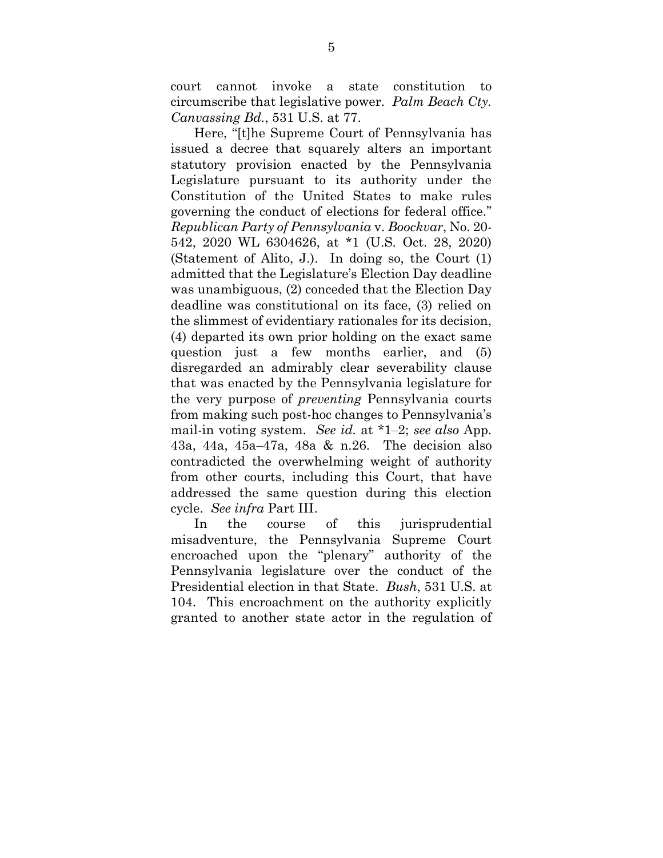court cannot invoke a state constitution to circumscribe that legislative power. *Palm Beach Cty. Canvassing Bd.*, 531 U.S. at 77.

Here, "[t]he Supreme Court of Pennsylvania has issued a decree that squarely alters an important statutory provision enacted by the Pennsylvania Legislature pursuant to its authority under the Constitution of the United States to make rules governing the conduct of elections for federal office." *Republican Party of Pennsylvania* v. *Boockvar*, No. 20- 542, 2020 WL 6304626, at \*1 (U.S. Oct. 28, 2020) (Statement of Alito, J.). In doing so, the Court (1) admitted that the Legislature's Election Day deadline was unambiguous, (2) conceded that the Election Day deadline was constitutional on its face, (3) relied on the slimmest of evidentiary rationales for its decision, (4) departed its own prior holding on the exact same question just a few months earlier, and (5) disregarded an admirably clear severability clause that was enacted by the Pennsylvania legislature for the very purpose of *preventing* Pennsylvania courts from making such post-hoc changes to Pennsylvania's mail-in voting system. *See id.* at \*1–2; *see also* App. 43a, 44a, 45a–47a, 48a & n.26. The decision also contradicted the overwhelming weight of authority from other courts, including this Court, that have addressed the same question during this election cycle. *See infra* Part III.

In the course of this jurisprudential misadventure, the Pennsylvania Supreme Court encroached upon the "plenary" authority of the Pennsylvania legislature over the conduct of the Presidential election in that State. *Bush*, 531 U.S. at 104. This encroachment on the authority explicitly granted to another state actor in the regulation of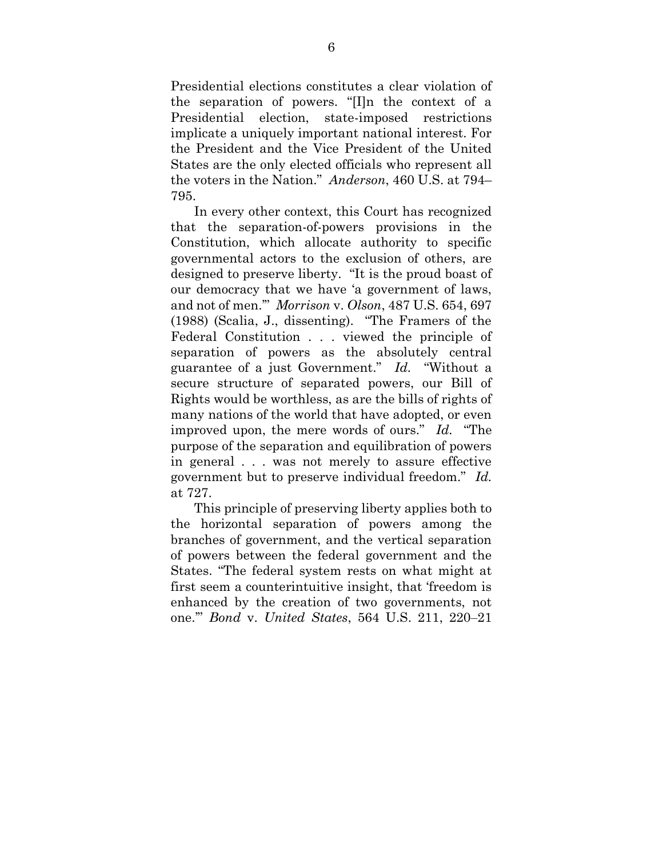Presidential elections constitutes a clear violation of the separation of powers. "[I]n the context of a Presidential election, state-imposed restrictions implicate a uniquely important national interest. For the President and the Vice President of the United States are the only elected officials who represent all the voters in the Nation." *Anderson*, 460 U.S. at 794– 795.

In every other context, this Court has recognized that the separation-of-powers provisions in the Constitution, which allocate authority to specific governmental actors to the exclusion of others, are designed to preserve liberty. "It is the proud boast of our democracy that we have 'a government of laws, and not of men.'" *Morrison* v. *Olson*, 487 U.S. 654, 697 (1988) (Scalia, J., dissenting). "The Framers of the Federal Constitution . . . viewed the principle of separation of powers as the absolutely central guarantee of a just Government." *Id.* "Without a secure structure of separated powers, our Bill of Rights would be worthless, as are the bills of rights of many nations of the world that have adopted, or even improved upon, the mere words of ours." *Id.* "The purpose of the separation and equilibration of powers in general . . . was not merely to assure effective government but to preserve individual freedom." *Id.* at 727.

This principle of preserving liberty applies both to the horizontal separation of powers among the branches of government, and the vertical separation of powers between the federal government and the States. "The federal system rests on what might at first seem a counterintuitive insight, that 'freedom is enhanced by the creation of two governments, not one.'" *Bond* v. *United States*, 564 U.S. 211, 220–21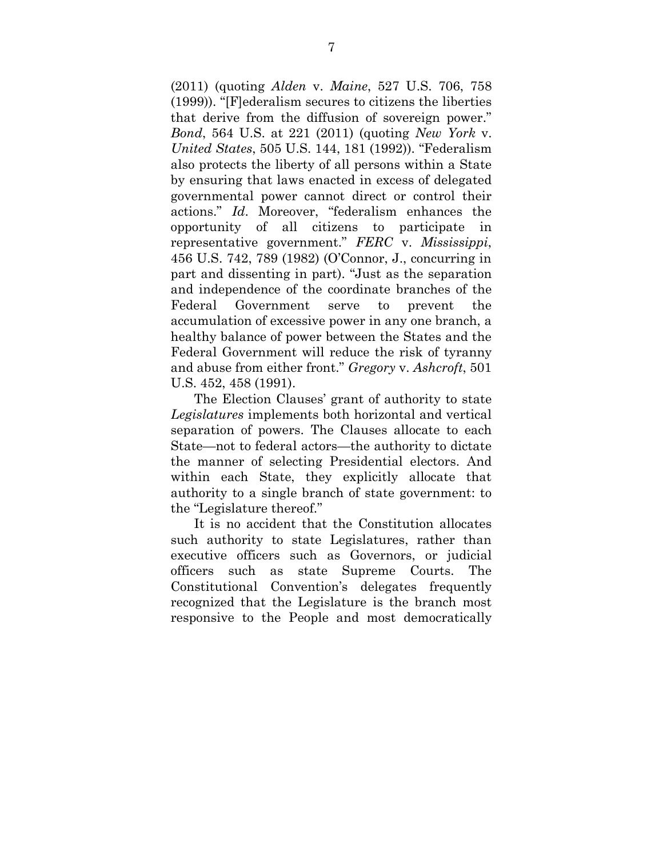(2011) (quoting *Alden* v. *Maine*, 527 U.S. 706, 758 (1999)). "[F]ederalism secures to citizens the liberties that derive from the diffusion of sovereign power." *Bond*, 564 U.S. at 221 (2011) (quoting *New York* v. *United States*, 505 U.S. 144, 181 (1992)). "Federalism also protects the liberty of all persons within a State by ensuring that laws enacted in excess of delegated governmental power cannot direct or control their actions." *Id*. Moreover, "federalism enhances the opportunity of all citizens to participate in representative government." *FERC* v. *Mississippi*, 456 U.S. 742, 789 (1982) (O'Connor, J., concurring in part and dissenting in part). "Just as the separation and independence of the coordinate branches of the Federal Government serve to prevent the accumulation of excessive power in any one branch, a healthy balance of power between the States and the Federal Government will reduce the risk of tyranny and abuse from either front." *Gregory* v. *Ashcroft*, 501 U.S. 452, 458 (1991).

The Election Clauses' grant of authority to state *Legislatures* implements both horizontal and vertical separation of powers. The Clauses allocate to each State—not to federal actors—the authority to dictate the manner of selecting Presidential electors. And within each State, they explicitly allocate that authority to a single branch of state government: to the "Legislature thereof."

It is no accident that the Constitution allocates such authority to state Legislatures, rather than executive officers such as Governors, or judicial officers such as state Supreme Courts. The Constitutional Convention's delegates frequently recognized that the Legislature is the branch most responsive to the People and most democratically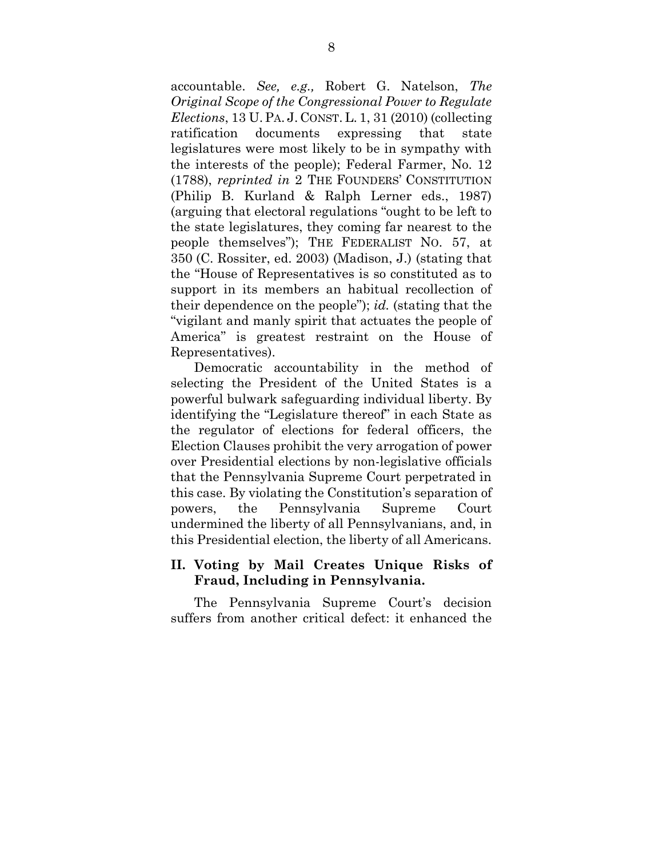accountable. *See, e.g.,* Robert G. Natelson, *The Original Scope of the Congressional Power to Regulate Elections*, 13 U.PA. J. CONST. L. 1, 31 (2010) (collecting ratification documents expressing that state legislatures were most likely to be in sympathy with the interests of the people); Federal Farmer, No. 12 (1788), *reprinted in* 2 THE FOUNDERS' CONSTITUTION (Philip B. Kurland & Ralph Lerner eds., 1987) (arguing that electoral regulations "ought to be left to the state legislatures, they coming far nearest to the people themselves"); THE FEDERALIST NO. 57, at 350 (C. Rossiter, ed. 2003) (Madison, J.) (stating that the "House of Representatives is so constituted as to support in its members an habitual recollection of their dependence on the people"); *id.* (stating that the "vigilant and manly spirit that actuates the people of America" is greatest restraint on the House of Representatives).

Democratic accountability in the method of selecting the President of the United States is a powerful bulwark safeguarding individual liberty. By identifying the "Legislature thereof" in each State as the regulator of elections for federal officers, the Election Clauses prohibit the very arrogation of power over Presidential elections by non-legislative officials that the Pennsylvania Supreme Court perpetrated in this case. By violating the Constitution's separation of powers, the Pennsylvania Supreme Court undermined the liberty of all Pennsylvanians, and, in this Presidential election, the liberty of all Americans.

#### <span id="page-14-0"></span>**II. Voting by Mail Creates Unique Risks of Fraud, Including in Pennsylvania.**

The Pennsylvania Supreme Court's decision suffers from another critical defect: it enhanced the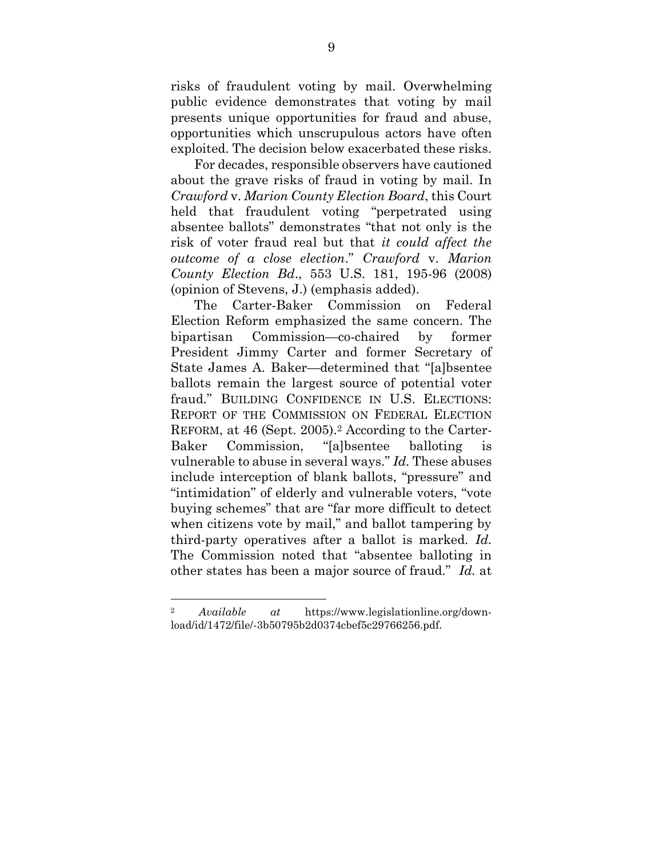risks of fraudulent voting by mail. Overwhelming public evidence demonstrates that voting by mail presents unique opportunities for fraud and abuse, opportunities which unscrupulous actors have often exploited. The decision below exacerbated these risks.

For decades, responsible observers have cautioned about the grave risks of fraud in voting by mail. In *Crawford* v. *Marion County Election Board*, this Court held that fraudulent voting "perpetrated using absentee ballots" demonstrates "that not only is the risk of voter fraud real but that *it could affect the outcome of a close election*." *Crawford* v. *Marion County Election Bd*., 553 U.S. 181, 195-96 (2008) (opinion of Stevens, J.) (emphasis added).

The Carter-Baker Commission on Federal Election Reform emphasized the same concern. The bipartisan Commission—co-chaired by former President Jimmy Carter and former Secretary of State James A. Baker—determined that "[a]bsentee ballots remain the largest source of potential voter fraud." BUILDING CONFIDENCE IN U.S. ELECTIONS: REPORT OF THE COMMISSION ON FEDERAL ELECTION REFORM, at 46 (Sept. 2005). <sup>2</sup> According to the Carter-Baker Commission, "[a]bsentee balloting is vulnerable to abuse in several ways." *Id.* These abuses include interception of blank ballots, "pressure" and "intimidation" of elderly and vulnerable voters, "vote buying schemes" that are "far more difficult to detect when citizens vote by mail," and ballot tampering by third-party operatives after a ballot is marked. *Id.* The Commission noted that "absentee balloting in other states has been a major source of fraud." *Id.* at

l

<sup>2</sup> *Available at* https://www.legislationline.org/download/id/1472/file/-3b50795b2d0374cbef5c29766256.pdf.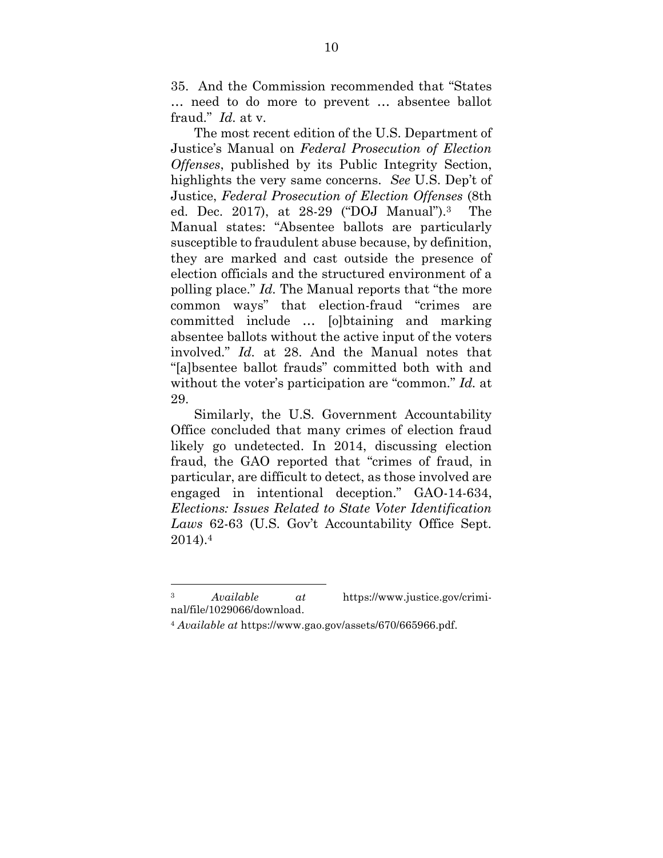35. And the Commission recommended that "States … need to do more to prevent … absentee ballot fraud." *Id.* at v.

The most recent edition of the U.S. Department of Justice's Manual on *Federal Prosecution of Election Offenses*, published by its Public Integrity Section, highlights the very same concerns. *See* U.S. Dep't of Justice, *Federal Prosecution of Election Offenses* (8th ed. Dec. 2017), at 28-29 ("DOJ Manual"). The Manual states: "Absentee ballots are particularly susceptible to fraudulent abuse because, by definition, they are marked and cast outside the presence of election officials and the structured environment of a polling place." *Id.* The Manual reports that "the more common ways" that election-fraud "crimes are committed include … [o]btaining and marking absentee ballots without the active input of the voters involved." *Id.* at 28. And the Manual notes that "[a]bsentee ballot frauds" committed both with and without the voter's participation are "common." *Id.* at 29.

Similarly, the U.S. Government Accountability Office concluded that many crimes of election fraud likely go undetected. In 2014, discussing election fraud, the GAO reported that "crimes of fraud, in particular, are difficult to detect, as those involved are engaged in intentional deception." GAO-14-634, *Elections: Issues Related to State Voter Identification Laws* 62-63 (U.S. Gov't Accountability Office Sept. 2014).<sup>4</sup>

<sup>3</sup> *Available at* https://www.justice.gov/criminal/file/1029066/download.

<sup>4</sup> *Available at* https://www.gao.gov/assets/670/665966.pdf.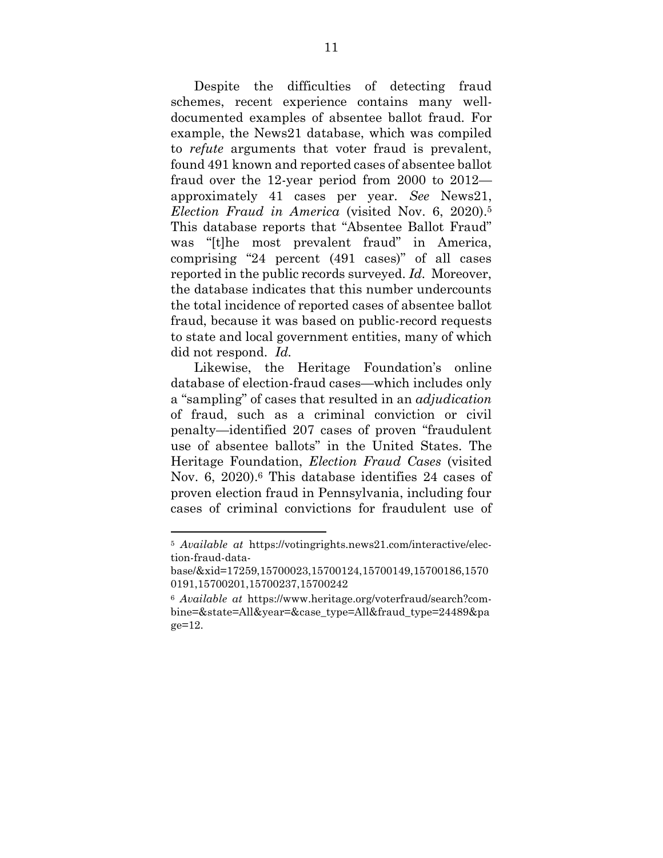Despite the difficulties of detecting fraud schemes, recent experience contains many welldocumented examples of absentee ballot fraud. For example, the News21 database, which was compiled to *refute* arguments that voter fraud is prevalent, found 491 known and reported cases of absentee ballot fraud over the 12-year period from 2000 to 2012 approximately 41 cases per year. *See* News21, *Election Fraud in America* (visited Nov. 6, 2020). 5 This database reports that "Absentee Ballot Fraud" was "[t]he most prevalent fraud" in America, comprising "24 percent (491 cases)" of all cases reported in the public records surveyed. *Id.* Moreover, the database indicates that this number undercounts the total incidence of reported cases of absentee ballot fraud, because it was based on public-record requests to state and local government entities, many of which did not respond. *Id.*

Likewise, the Heritage Foundation's online database of election-fraud cases—which includes only a "sampling" of cases that resulted in an *adjudication* of fraud, such as a criminal conviction or civil penalty—identified 207 cases of proven "fraudulent use of absentee ballots" in the United States. The Heritage Foundation, *Election Fraud Cases* (visited Nov. 6, 2020). <sup>6</sup> This database identifies 24 cases of proven election fraud in Pennsylvania, including four cases of criminal convictions for fraudulent use of

l

<sup>5</sup> *Available at* https://votingrights.news21.com/interactive/election-fraud-data-

base/&xid=17259,15700023,15700124,15700149,15700186,1570 0191,15700201,15700237,15700242

<sup>6</sup> *Available at* https://www.heritage.org/voterfraud/search?combine=&state=All&year=&case\_type=All&fraud\_type=24489&pa ge=12.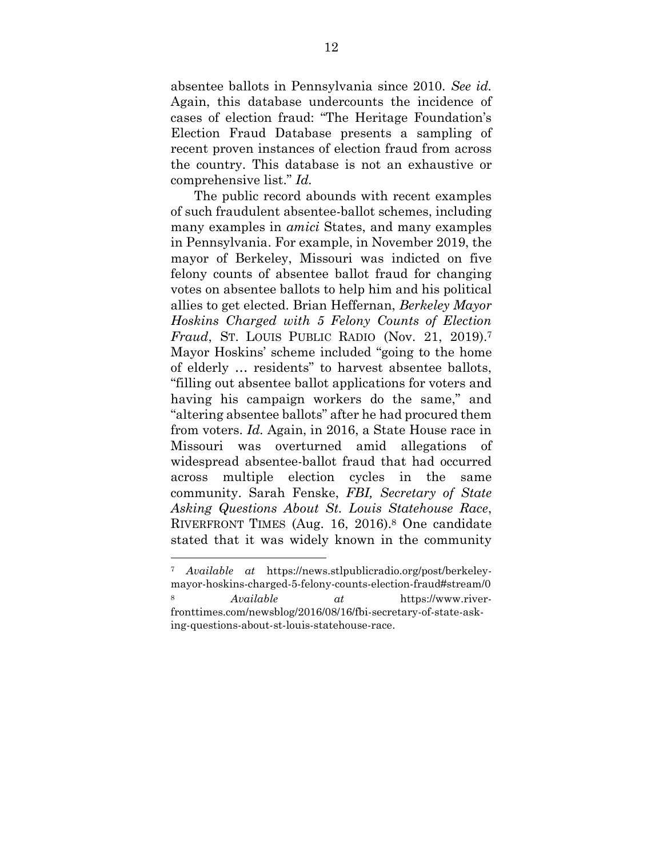absentee ballots in Pennsylvania since 2010. *See id.* Again, this database undercounts the incidence of cases of election fraud: "The Heritage Foundation's Election Fraud Database presents a sampling of recent proven instances of election fraud from across the country. This database is not an exhaustive or comprehensive list." *Id.*

The public record abounds with recent examples of such fraudulent absentee-ballot schemes, including many examples in *amici* States, and many examples in Pennsylvania. For example, in November 2019, the mayor of Berkeley, Missouri was indicted on five felony counts of absentee ballot fraud for changing votes on absentee ballots to help him and his political allies to get elected. Brian Heffernan, *Berkeley Mayor Hoskins Charged with 5 Felony Counts of Election Fraud*, ST. LOUIS PUBLIC RADIO (Nov. 21, 2019). 7 Mayor Hoskins' scheme included "going to the home of elderly … residents" to harvest absentee ballots, "filling out absentee ballot applications for voters and having his campaign workers do the same," and "altering absentee ballots" after he had procured them from voters. *Id.* Again, in 2016, a State House race in Missouri was overturned amid allegations of widespread absentee-ballot fraud that had occurred across multiple election cycles in the same community. Sarah Fenske, *FBI, Secretary of State Asking Questions About St. Louis Statehouse Race*, RIVERFRONT TIMES (Aug. 16, 2016). <sup>8</sup> One candidate stated that it was widely known in the community

<sup>7</sup> *Available at* https://news.stlpublicradio.org/post/berkeleymayor-hoskins-charged-5-felony-counts-election-fraud#stream/0 <sup>8</sup> *Available at* https://www.riverfronttimes.com/newsblog/2016/08/16/fbi-secretary-of-state-asking-questions-about-st-louis-statehouse-race.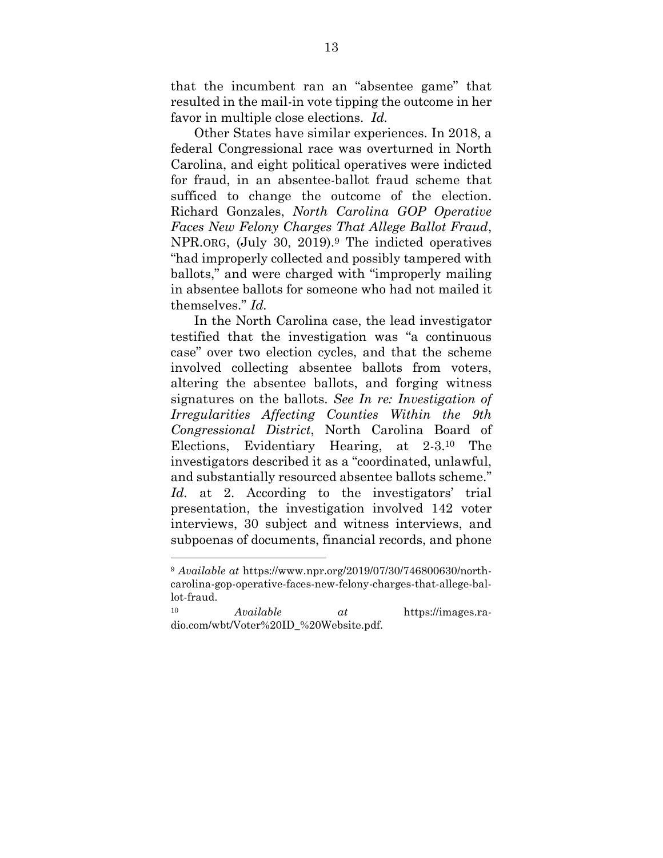that the incumbent ran an "absentee game" that resulted in the mail-in vote tipping the outcome in her favor in multiple close elections. *Id.*

Other States have similar experiences. In 2018, a federal Congressional race was overturned in North Carolina, and eight political operatives were indicted for fraud, in an absentee-ballot fraud scheme that sufficed to change the outcome of the election. Richard Gonzales, *North Carolina GOP Operative Faces New Felony Charges That Allege Ballot Fraud*, NPR.ORG, (July 30, 2019).<sup>9</sup> The indicted operatives "had improperly collected and possibly tampered with ballots," and were charged with "improperly mailing in absentee ballots for someone who had not mailed it themselves." *Id.*

In the North Carolina case, the lead investigator testified that the investigation was "a continuous case" over two election cycles, and that the scheme involved collecting absentee ballots from voters, altering the absentee ballots, and forging witness signatures on the ballots. *See In re: Investigation of Irregularities Affecting Counties Within the 9th Congressional District*, North Carolina Board of Elections, Evidentiary Hearing, at 2-3.<sup>10</sup> The investigators described it as a "coordinated, unlawful, and substantially resourced absentee ballots scheme." *Id.* at 2. According to the investigators' trial presentation, the investigation involved 142 voter interviews, 30 subject and witness interviews, and subpoenas of documents, financial records, and phone

<sup>9</sup> *Available at* https://www.npr.org/2019/07/30/746800630/northcarolina-gop-operative-faces-new-felony-charges-that-allege-ballot-fraud.

<sup>10</sup> *Available at* https://images.radio.com/wbt/Voter%20ID\_%20Website.pdf.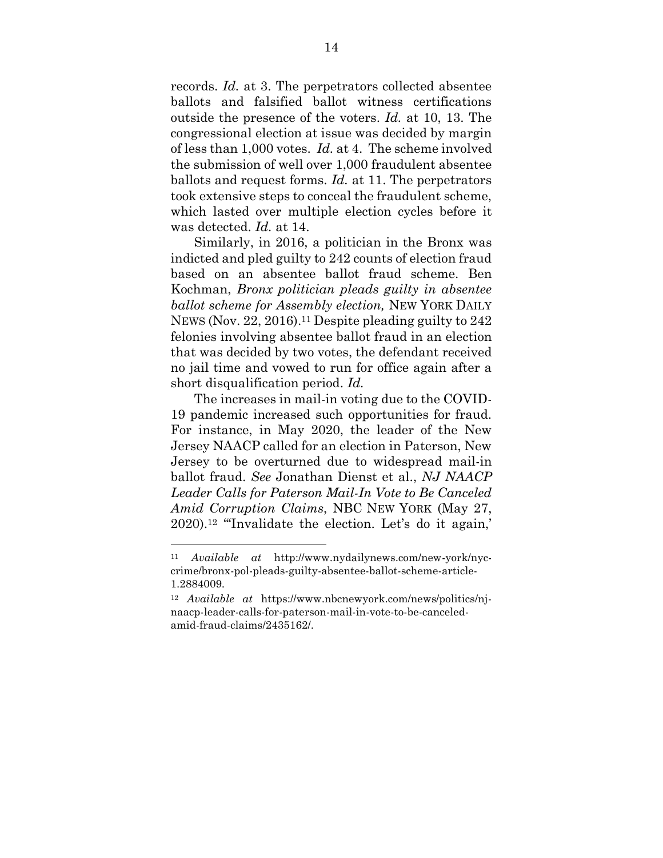records. *Id.* at 3. The perpetrators collected absentee ballots and falsified ballot witness certifications outside the presence of the voters. *Id.* at 10, 13. The congressional election at issue was decided by margin of less than 1,000 votes. *Id.* at 4. The scheme involved the submission of well over 1,000 fraudulent absentee ballots and request forms. *Id.* at 11. The perpetrators took extensive steps to conceal the fraudulent scheme, which lasted over multiple election cycles before it was detected. *Id.* at 14.

Similarly, in 2016, a politician in the Bronx was indicted and pled guilty to 242 counts of election fraud based on an absentee ballot fraud scheme. Ben Kochman, *Bronx politician pleads guilty in absentee ballot scheme for Assembly election,* NEW YORK DAILY NEWS (Nov. 22, 2016). <sup>11</sup> Despite pleading guilty to 242 felonies involving absentee ballot fraud in an election that was decided by two votes, the defendant received no jail time and vowed to run for office again after a short disqualification period. *Id.*

The increases in mail-in voting due to the COVID-19 pandemic increased such opportunities for fraud. For instance, in May 2020, the leader of the New Jersey NAACP called for an election in Paterson, New Jersey to be overturned due to widespread mail-in ballot fraud. *See* Jonathan Dienst et al., *NJ NAACP Leader Calls for Paterson Mail-In Vote to Be Canceled Amid Corruption Claims*, NBC NEW YORK (May 27, 2020). <sup>12</sup> "'Invalidate the election. Let's do it again,'

l

<sup>11</sup> *Available at* http://www.nydailynews.com/new-york/nyccrime/bronx-pol-pleads-guilty-absentee-ballot-scheme-article-1.2884009.

<sup>12</sup> *Available at* https://www.nbcnewyork.com/news/politics/njnaacp-leader-calls-for-paterson-mail-in-vote-to-be-canceledamid-fraud-claims/2435162/.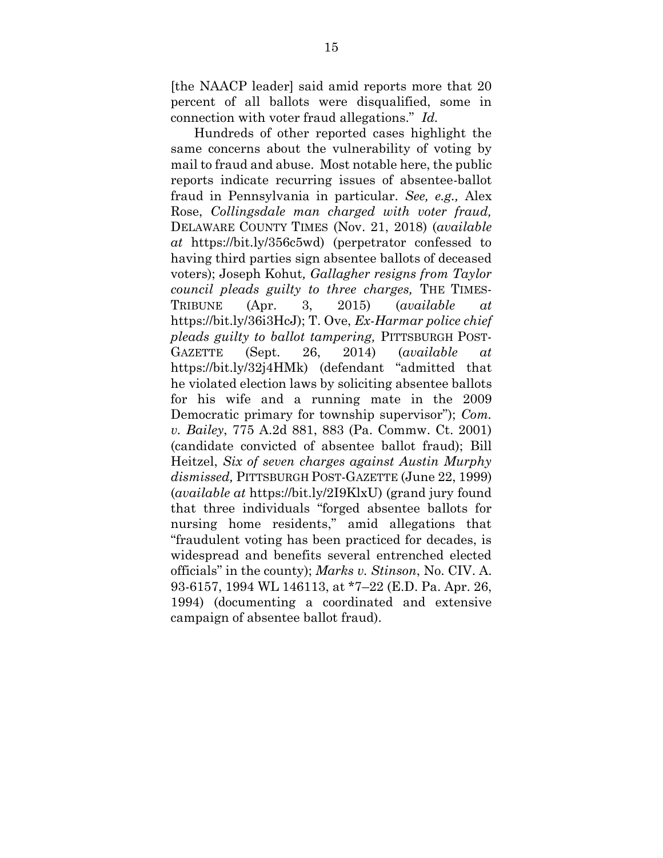[the NAACP leader] said amid reports more that 20 percent of all ballots were disqualified, some in connection with voter fraud allegations." *Id.*

Hundreds of other reported cases highlight the same concerns about the vulnerability of voting by mail to fraud and abuse. Most notable here, the public reports indicate recurring issues of absentee-ballot fraud in Pennsylvania in particular. *See, e.g.,* Alex Rose, *Collingsdale man charged with voter fraud,* DELAWARE COUNTY TIMES (Nov. 21, 2018) (*available at* https://bit.ly/356c5wd) (perpetrator confessed to having third parties sign absentee ballots of deceased voters); Joseph Kohut*, Gallagher resigns from Taylor council pleads guilty to three charges,* THE TIMES-TRIBUNE (Apr. 3, 2015) (*available at* https://bit.ly/36i3HcJ); T. Ove, *Ex-Harmar police chief pleads guilty to ballot tampering,* PITTSBURGH POST-GAZETTE (Sept. 26, 2014) (*available at* https://bit.ly/32j4HMk) (defendant "admitted that he violated election laws by soliciting absentee ballots for his wife and a running mate in the 2009 Democratic primary for township supervisor"); *Com. v. Bailey*, 775 A.2d 881, 883 (Pa. Commw. Ct. 2001) (candidate convicted of absentee ballot fraud); Bill Heitzel, *Six of seven charges against Austin Murphy dismissed,* PITTSBURGH POST-GAZETTE (June 22, 1999) (*available at* https://bit.ly/2I9KlxU) (grand jury found that three individuals "forged absentee ballots for nursing home residents," amid allegations that "fraudulent voting has been practiced for decades, is widespread and benefits several entrenched elected officials" in the county); *Marks v. Stinson*, No. CIV. A. 93-6157, 1994 WL 146113, at \*7–22 (E.D. Pa. Apr. 26, 1994) (documenting a coordinated and extensive campaign of absentee ballot fraud).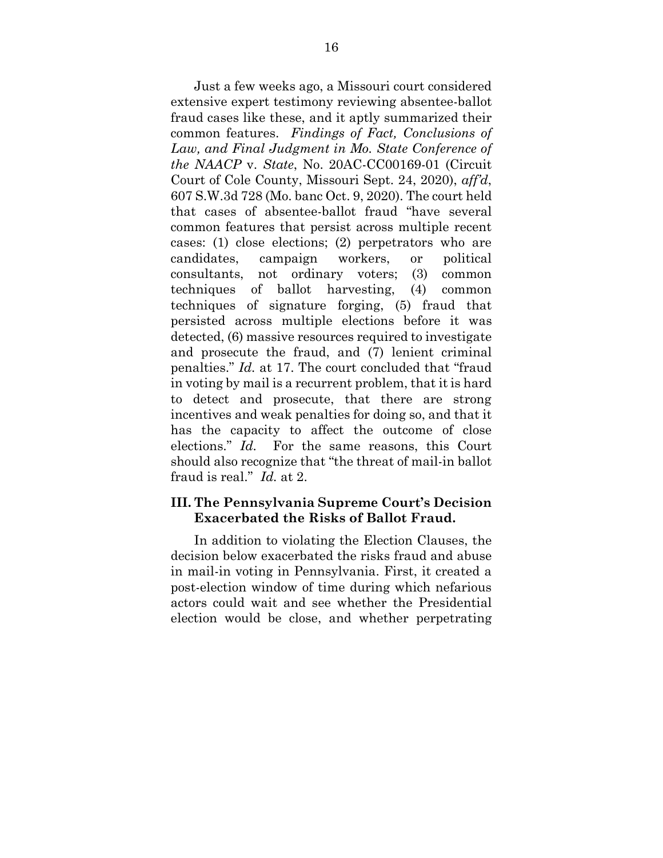Just a few weeks ago, a Missouri court considered extensive expert testimony reviewing absentee-ballot fraud cases like these, and it aptly summarized their common features. *Findings of Fact, Conclusions of Law, and Final Judgment in Mo. State Conference of the NAACP* v. *State*, No. 20AC-CC00169-01 (Circuit Court of Cole County, Missouri Sept. 24, 2020), *aff'd*, 607 S.W.3d 728 (Mo. banc Oct. 9, 2020). The court held that cases of absentee-ballot fraud "have several common features that persist across multiple recent cases: (1) close elections; (2) perpetrators who are candidates, campaign workers, or political consultants, not ordinary voters; (3) common techniques of ballot harvesting, (4) common techniques of signature forging, (5) fraud that persisted across multiple elections before it was detected, (6) massive resources required to investigate and prosecute the fraud, and (7) lenient criminal penalties." *Id.* at 17. The court concluded that "fraud in voting by mail is a recurrent problem, that it is hard to detect and prosecute, that there are strong incentives and weak penalties for doing so, and that it has the capacity to affect the outcome of close elections." *Id.* For the same reasons, this Court should also recognize that "the threat of mail-in ballot fraud is real." *Id.* at 2.

#### <span id="page-22-0"></span>**III. The Pennsylvania Supreme Court's Decision Exacerbated the Risks of Ballot Fraud.**

In addition to violating the Election Clauses, the decision below exacerbated the risks fraud and abuse in mail-in voting in Pennsylvania. First, it created a post-election window of time during which nefarious actors could wait and see whether the Presidential election would be close, and whether perpetrating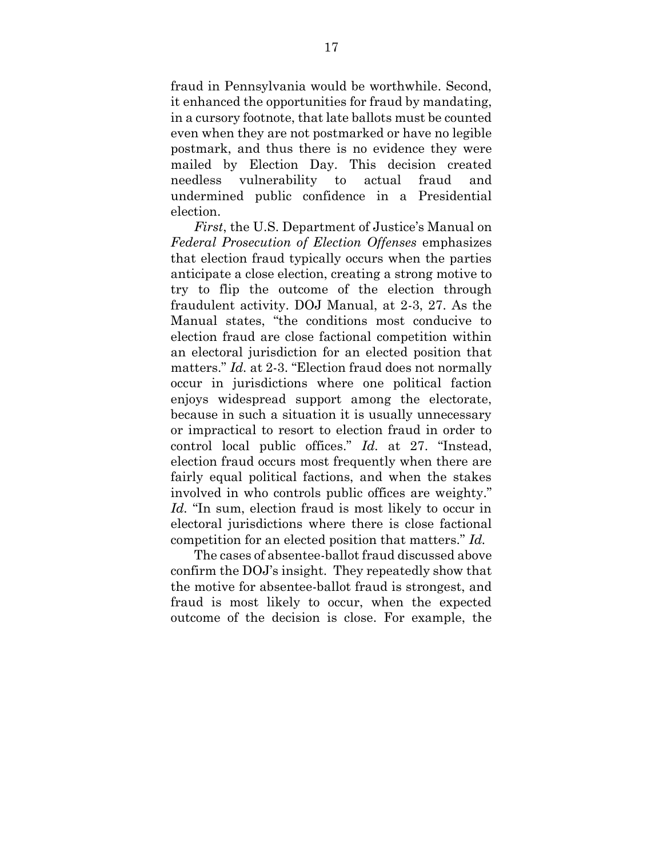fraud in Pennsylvania would be worthwhile. Second, it enhanced the opportunities for fraud by mandating, in a cursory footnote, that late ballots must be counted even when they are not postmarked or have no legible postmark, and thus there is no evidence they were mailed by Election Day. This decision created needless vulnerability to actual fraud and undermined public confidence in a Presidential election.

*First*, the U.S. Department of Justice's Manual on *Federal Prosecution of Election Offenses* emphasizes that election fraud typically occurs when the parties anticipate a close election, creating a strong motive to try to flip the outcome of the election through fraudulent activity. DOJ Manual, at 2-3, 27. As the Manual states, "the conditions most conducive to election fraud are close factional competition within an electoral jurisdiction for an elected position that matters." *Id.* at 2-3. "Election fraud does not normally occur in jurisdictions where one political faction enjoys widespread support among the electorate, because in such a situation it is usually unnecessary or impractical to resort to election fraud in order to control local public offices." *Id.* at 27. "Instead, election fraud occurs most frequently when there are fairly equal political factions, and when the stakes involved in who controls public offices are weighty." *Id.* "In sum, election fraud is most likely to occur in electoral jurisdictions where there is close factional competition for an elected position that matters." *Id.*

The cases of absentee-ballot fraud discussed above confirm the DOJ's insight. They repeatedly show that the motive for absentee-ballot fraud is strongest, and fraud is most likely to occur, when the expected outcome of the decision is close. For example, the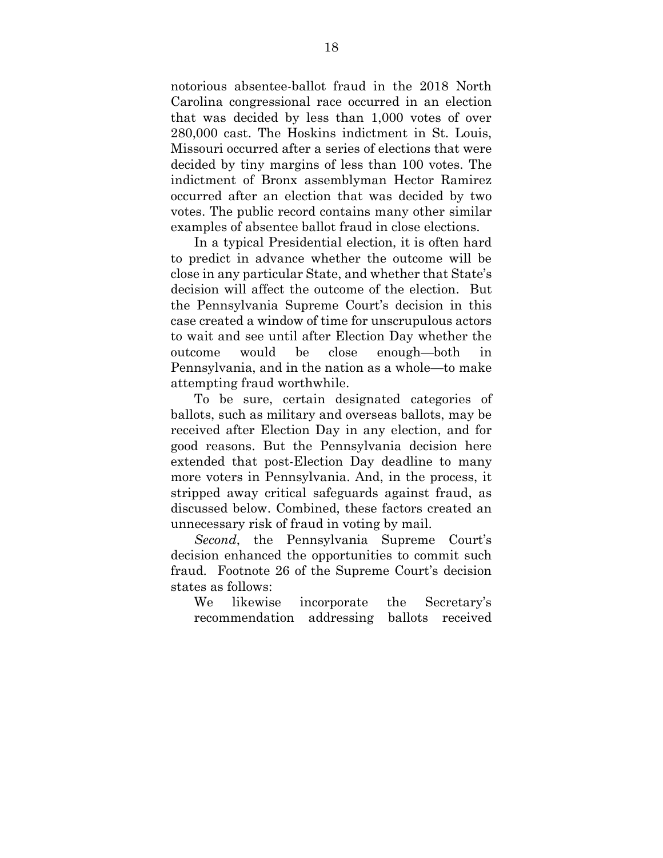notorious absentee-ballot fraud in the 2018 North Carolina congressional race occurred in an election that was decided by less than 1,000 votes of over 280,000 cast. The Hoskins indictment in St. Louis, Missouri occurred after a series of elections that were decided by tiny margins of less than 100 votes. The indictment of Bronx assemblyman Hector Ramirez occurred after an election that was decided by two votes. The public record contains many other similar examples of absentee ballot fraud in close elections.

In a typical Presidential election, it is often hard to predict in advance whether the outcome will be close in any particular State, and whether that State's decision will affect the outcome of the election. But the Pennsylvania Supreme Court's decision in this case created a window of time for unscrupulous actors to wait and see until after Election Day whether the outcome would be close enough—both in Pennsylvania, and in the nation as a whole—to make attempting fraud worthwhile.

To be sure, certain designated categories of ballots, such as military and overseas ballots, may be received after Election Day in any election, and for good reasons. But the Pennsylvania decision here extended that post-Election Day deadline to many more voters in Pennsylvania. And, in the process, it stripped away critical safeguards against fraud, as discussed below. Combined, these factors created an unnecessary risk of fraud in voting by mail.

*Second*, the Pennsylvania Supreme Court's decision enhanced the opportunities to commit such fraud. Footnote 26 of the Supreme Court's decision states as follows:

We likewise incorporate the Secretary's recommendation addressing ballots received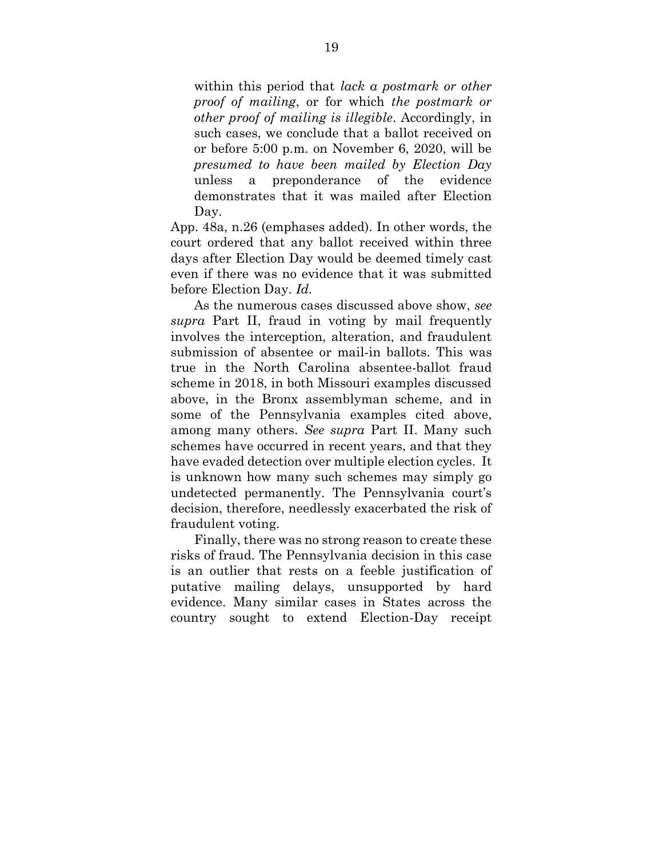within this period that *lack a postmark or other proof of mailing*, or for which *the postmark or other proof of mailing is illegible*. Accordingly, in such cases, we conclude that a ballot received on or before 5:00 p.m. on November 6, 2020, will be *presumed to have been mailed by Election Day* unless a preponderance of the evidence demonstrates that it was mailed after Election Day.

App. 48a, n.26 (emphases added). In other words, the court ordered that any ballot received within three days after Election Day would be deemed timely cast even if there was no evidence that it was submitted before Election Day. *Id.*

As the numerous cases discussed above show, *see supra* Part II, fraud in voting by mail frequently involves the interception, alteration, and fraudulent submission of absentee or mail-in ballots. This was true in the North Carolina absentee-ballot fraud scheme in 2018, in both Missouri examples discussed above, in the Bronx assemblyman scheme, and in some of the Pennsylvania examples cited above, among many others. *See supra* Part II. Many such schemes have occurred in recent years, and that they have evaded detection over multiple election cycles. It is unknown how many such schemes may simply go undetected permanently. The Pennsylvania court's decision, therefore, needlessly exacerbated the risk of fraudulent voting.

Finally, there was no strong reason to create these risks of fraud. The Pennsylvania decision in this case is an outlier that rests on a feeble justification of putative mailing delays, unsupported by hard evidence. Many similar cases in States across the country sought to extend Election-Day receipt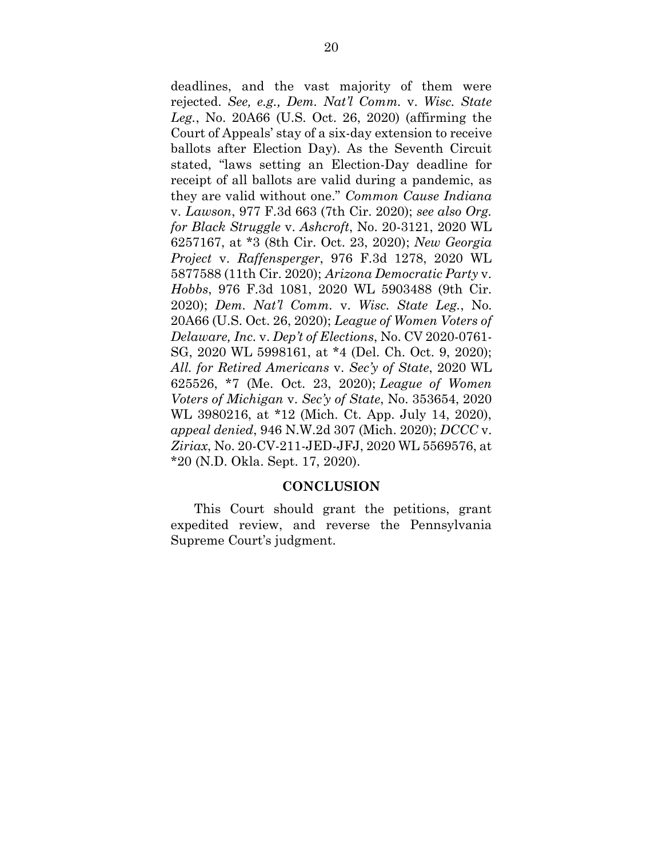deadlines, and the vast majority of them were rejected. *See, e.g., Dem. Nat'l Comm.* v. *Wisc. State Leg.*, No. 20A66 (U.S. Oct. 26, 2020) (affirming the Court of Appeals' stay of a six-day extension to receive ballots after Election Day). As the Seventh Circuit stated, "laws setting an Election-Day deadline for receipt of all ballots are valid during a pandemic, as they are valid without one." *Common Cause Indiana* v. *Lawson*, 977 F.3d 663 (7th Cir. 2020); *see also Org. for Black Struggle* v. *Ashcroft*, No. 20-3121, 2020 WL 6257167, at \*3 (8th Cir. Oct. 23, 2020); *New Georgia Project* v. *Raffensperger*, 976 F.3d 1278, 2020 WL 5877588 (11th Cir. 2020); *Arizona Democratic Party* v. *Hobbs*, 976 F.3d 1081, 2020 WL 5903488 (9th Cir. 2020); *Dem. Nat'l Comm.* v. *Wisc. State Leg.*, No. 20A66 (U.S. Oct. 26, 2020); *League of Women Voters of Delaware, Inc.* v. *Dep't of Elections*, No. CV 2020-0761- SG, 2020 WL 5998161, at \*4 (Del. Ch. Oct. 9, 2020); *All. for Retired Americans* v. *Sec'y of State*, 2020 WL 625526, \*7 (Me. Oct. 23, 2020); *League of Women Voters of Michigan* v. *Sec'y of State*, No. 353654, 2020 WL 3980216, at \*12 (Mich. Ct. App. July 14, 2020), *appeal denied*, 946 N.W.2d 307 (Mich. 2020); *DCCC* v. *Ziriax*, No. 20-CV-211-JED-JFJ, 2020 WL 5569576, at \*20 (N.D. Okla. Sept. 17, 2020).

#### **CONCLUSION**

<span id="page-26-0"></span>This Court should grant the petitions, grant expedited review, and reverse the Pennsylvania Supreme Court's judgment.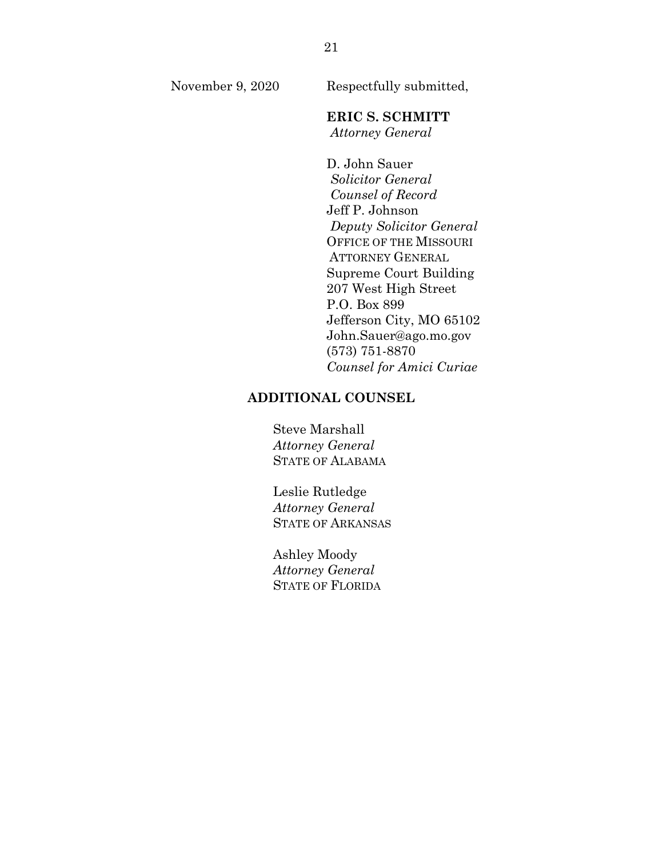November 9, 2020 Respectfully submitted,

## **ERIC S. SCHMITT**

*Attorney General*

D. John Sauer *Solicitor General Counsel of Record* Jeff P. Johnson *Deputy Solicitor General* OFFICE OF THE MISSOURI ATTORNEY GENERAL Supreme Court Building 207 West High Street P.O. Box 899 Jefferson City, MO 65102 John.Sauer@ago.mo.gov (573) 751-8870 *Counsel for Amici Curiae*

#### **ADDITIONAL COUNSEL**

Steve Marshall *Attorney General* STATE OF ALABAMA

Leslie Rutledge *Attorney General* STATE OF ARKANSAS

Ashley Moody *Attorney General* STATE OF FLORIDA